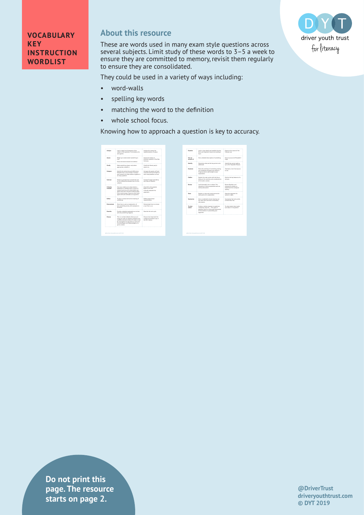

## **About this resource**

These are words used in many exam style questions across several subjects. Limit study of these words to 3–5 a week to ensure they are committed to memory, revisit them regularly to ensure they are consolidated.

They could be used in a variety of ways including:

- word-walls
- spelling key words
- matching the word to the definition
- whole school focus.

Knowing how to approach a question is key to accuracy.

| Analyse                | Look in detail at all elements of the<br>subject of the question. Find evidence for<br>and against.                                                                                                                                                              | Analyse this extract for<br>recreated at long of nature.                                                     |
|------------------------|------------------------------------------------------------------------------------------------------------------------------------------------------------------------------------------------------------------------------------------------------------------|--------------------------------------------------------------------------------------------------------------|
| <b>Assess</b>          | Weigh up to what extent something is<br>true.<br>Draw conclusions based on evidence.                                                                                                                                                                             | Assess the extent of<br>economic growth in Post War<br>Germany.                                              |
| Clarify                | Make something clearer and, where<br>appropriate, simplify it.                                                                                                                                                                                                   | Clarify the liberal party's<br>stance on                                                                     |
| Compare                | Identify the similarities and differences<br>between two or more things. 'Compare'<br>and contrast' will often feature together in<br>an essay cuestion.                                                                                                         | Compare the poems of Carol.<br>Churchill and Sylvia Plath on<br>their interpretations of love.               |
| Contrast               | Similar to compare but concentrate just<br>on the differences between two or more<br>sublects.                                                                                                                                                                   | Contrast Trump's presidency<br>with that of Champ's                                                          |
| Critically<br>evaluate | Give your verdict as to what extent a<br>statement or findings within a piece of<br>research are true, or to what extent you<br>agree with them. Provide evidence taken<br>from a wide range of sources which both<br>agree with and contradict an aroument.<br> | Churchill is the createst<br>Briton of all time.<br>Critically evaluate this<br>shake mann<br>************** |
| Define                 | To give in precise terms the meaning of<br>something.                                                                                                                                                                                                            | Define proportional<br>reconsentation.                                                                       |
| Demonstrate            | Show how or give an explanation of<br>how spreething works, with examples to<br><b>Illustrate</b>                                                                                                                                                                | Demonstrate how to remove<br>a tyre from a car.                                                              |
| Dearche                | Provide a detailed explanation as to how<br>and why something happens.                                                                                                                                                                                           | Describe the rain cycle.                                                                                     |
| Discuss                | This is a written debate where you are<br>using your skill at reasoning, backed up by<br>carefully selected evidence to make a case<br>for and against an aroument, or point out<br>the advantages and disadvantages of a<br>given context.                      | Discuss how important the<br>industrial revolution was in<br>the UK's history.                               |

| Evening               | Look in close detail and establish the key<br>facts and important issues surrounding a<br>topic.                                                                            | Examine the raines of the<br>Matrician sand                                             |
|-----------------------|-----------------------------------------------------------------------------------------------------------------------------------------------------------------------------|-----------------------------------------------------------------------------------------|
| Clus an<br>account of | Give a detailed description of something.                                                                                                                                   | Club an arrowed of Elizabeth I.<br>relan.                                               |
| <b>Identify</b>       | Determine what are the key points to be<br>addressed                                                                                                                        | Identify the events leading<br>up to the Tolouddle Martyn.                              |
| <b>Hustrate</b>       | Show the workings of something, making<br>use of definite examples and statistics<br>If appropriate to add weight to your<br>explanation.                                   | <b>Husbrate a river form source</b><br>th said                                          |
| Outline               | Explain the main points with the focus<br>being on the overview and considerations<br>of the wider context.                                                                 | Outline the key features of a<br>volcano.                                               |
| Deutsche              | Look thoroughly into a subject. This<br>should be a critical assessment and not<br>merely descriptive.                                                                      | Review Bowlby's and<br>Almovath's studies on<br>attachment for ecological.<br>validity. |
| State                 | Explain in clear and concise terms the<br>main points of a subject/text.                                                                                                    | State the aroument for<br>women's rights.                                               |
| <b>Commertise</b>     | Give a condensed version drawing out<br>the main facts and omit unnecessary<br>Information                                                                                  | Summarise the main points.<br>of World War Two.                                         |
| To what<br>extent.    | Evokes a similar response to questions<br>containing 'How far'. This type of<br>question calls for a thorough assessment<br>of the evidence in presenting your<br>angument. | To what extent does Larkin<br>use nature in his poems?                                  |

**Do not print this page. The resource starts on page 2.**

**@DriverTrust driveryouthtrust.com © DYT 2019**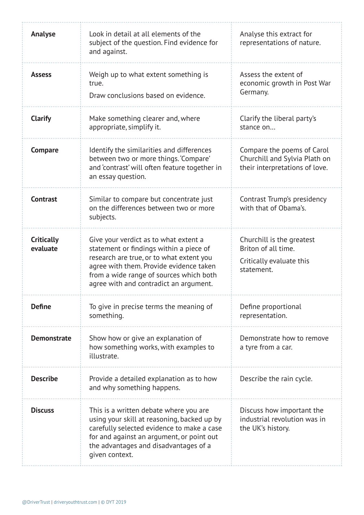| Analyse                       | Look in detail at all elements of the<br>subject of the question. Find evidence for<br>and against.                                                                                                                                                          | Analyse this extract for<br>representations of nature.                                        |
|-------------------------------|--------------------------------------------------------------------------------------------------------------------------------------------------------------------------------------------------------------------------------------------------------------|-----------------------------------------------------------------------------------------------|
| <b>Assess</b>                 | Weigh up to what extent something is<br>true.<br>Draw conclusions based on evidence.                                                                                                                                                                         | Assess the extent of<br>economic growth in Post War<br>Germany.                               |
| <b>Clarify</b>                | Make something clearer and, where<br>appropriate, simplify it.                                                                                                                                                                                               | Clarify the liberal party's<br>stance on                                                      |
| <b>Compare</b>                | Identify the similarities and differences<br>between two or more things. 'Compare'<br>and 'contrast' will often feature together in<br>an essay question.                                                                                                    | Compare the poems of Carol<br>Churchill and Sylvia Plath on<br>their interpretations of love. |
| <b>Contrast</b>               | Similar to compare but concentrate just<br>on the differences between two or more<br>subjects.                                                                                                                                                               | Contrast Trump's presidency<br>with that of Obama's.                                          |
| <b>Critically</b><br>evaluate | Give your verdict as to what extent a<br>statement or findings within a piece of<br>research are true, or to what extent you<br>agree with them. Provide evidence taken<br>from a wide range of sources which both<br>agree with and contradict an argument. | Churchill is the greatest<br>Briton of all time.<br>Critically evaluate this<br>statement.    |
| <b>Define</b>                 | To give in precise terms the meaning of<br>something.                                                                                                                                                                                                        | Define proportional<br>representation.                                                        |
| <b>Demonstrate</b>            | Show how or give an explanation of<br>how something works, with examples to<br>illustrate.                                                                                                                                                                   | Demonstrate how to remove<br>a tyre from a car.                                               |
| <b>Describe</b>               | Provide a detailed explanation as to how<br>and why something happens.                                                                                                                                                                                       | Describe the rain cycle.                                                                      |
| <b>Discuss</b>                | This is a written debate where you are<br>using your skill at reasoning, backed up by<br>carefully selected evidence to make a case<br>for and against an argument, or point out<br>the advantages and disadvantages of a<br>given context.                  | Discuss how important the<br>industrial revolution was in<br>the UK's history.                |